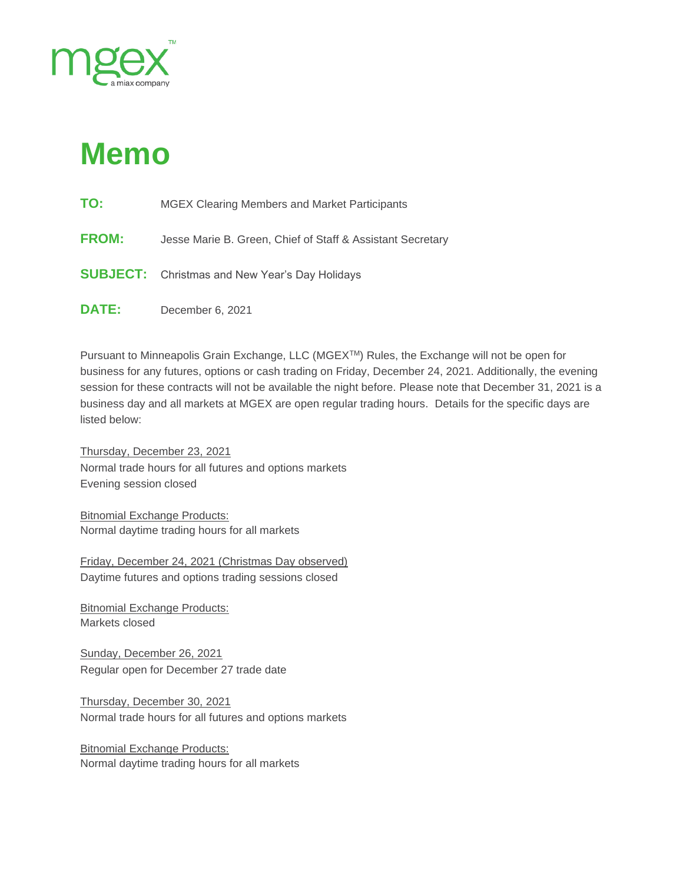

## **Memo**

| TO:<br><b>MGEX Clearing Members and Market Participants</b> |
|-------------------------------------------------------------|
|-------------------------------------------------------------|

- **FROM:** Jesse Marie B. Green, Chief of Staff & Assistant Secretary
- **SUBJECT:** Christmas and New Year's Day Holidays
- **DATE:** December 6, 2021

Pursuant to Minneapolis Grain Exchange, LLC (MGEXTM) Rules, the Exchange will not be open for business for any futures, options or cash trading on Friday, December 24, 2021. Additionally, the evening session for these contracts will not be available the night before. Please note that December 31, 2021 is a business day and all markets at MGEX are open regular trading hours. Details for the specific days are listed below:

Thursday, December 23, 2021 Normal trade hours for all futures and options markets Evening session closed

Bitnomial Exchange Products: Normal daytime trading hours for all markets

Friday, December 24, 2021 (Christmas Day observed) Daytime futures and options trading sessions closed

Bitnomial Exchange Products: Markets closed

Sunday, December 26, 2021 Regular open for December 27 trade date

Thursday, December 30, 2021 Normal trade hours for all futures and options markets

**Bitnomial Exchange Products:** Normal daytime trading hours for all markets